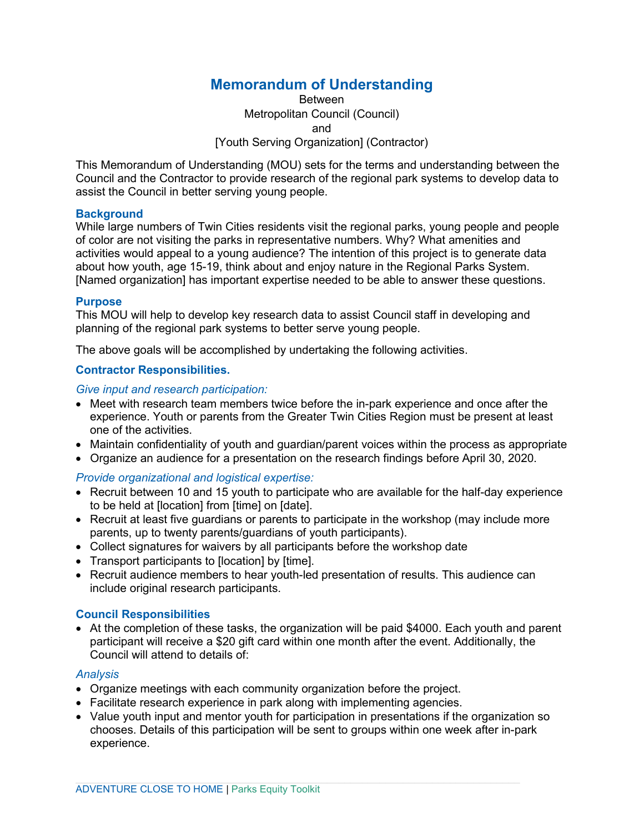# **Memorandum of Understanding**

Between Metropolitan Council (Council) and [Youth Serving Organization] (Contractor)

This Memorandum of Understanding (MOU) sets for the terms and understanding between the Council and the Contractor to provide research of the regional park systems to develop data to assist the Council in better serving young people.

# **Background**

While large numbers of Twin Cities residents visit the regional parks, young people and people of color are not visiting the parks in representative numbers. Why? What amenities and activities would appeal to a young audience? The intention of this project is to generate data about how youth, age 15-19, think about and enjoy nature in the Regional Parks System. [Named organization] has important expertise needed to be able to answer these questions.

## **Purpose**

This MOU will help to develop key research data to assist Council staff in developing and planning of the regional park systems to better serve young people.

The above goals will be accomplished by undertaking the following activities.

# **Contractor Responsibilities.**

*Give input and research participation:*

- Meet with research team members twice before the in-park experience and once after the experience. Youth or parents from the Greater Twin Cities Region must be present at least one of the activities.
- Maintain confidentiality of youth and guardian/parent voices within the process as appropriate
- Organize an audience for a presentation on the research findings before April 30, 2020.

# *Provide organizational and logistical expertise:*

- Recruit between 10 and 15 youth to participate who are available for the half-day experience to be held at [location] from [time] on [date].
- Recruit at least five guardians or parents to participate in the workshop (may include more parents, up to twenty parents/guardians of youth participants).
- Collect signatures for waivers by all participants before the workshop date
- Transport participants to [location] by [time].
- Recruit audience members to hear youth-led presentation of results. This audience can include original research participants.

# **Council Responsibilities**

• At the completion of these tasks, the organization will be paid \$4000. Each youth and parent participant will receive a \$20 gift card within one month after the event. Additionally, the Council will attend to details of:

#### *Analysis*

- Organize meetings with each community organization before the project.
- Facilitate research experience in park along with implementing agencies.
- Value youth input and mentor youth for participation in presentations if the organization so chooses. Details of this participation will be sent to groups within one week after in-park experience.